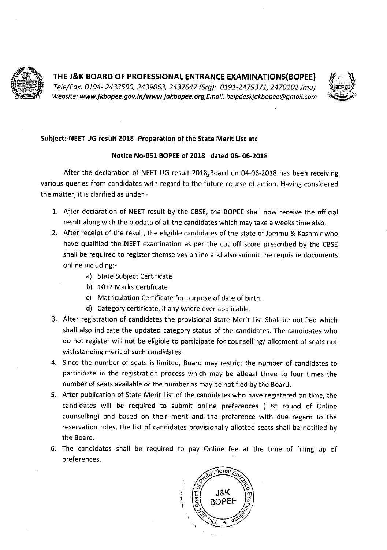



## **Subject:-NEET UG** result 2018- Preparation of the State Merit List etc

## Notice No-OSi BOPEE of **2018 dated 06- 06-2018**

After the declaration of NEET UG result 2018, Board on 04-06-2018 has been receiving various queries from candidates with regard to the future course of action. Having considered the matter, it is clarified as under:-

- 1. After declaration of NEET result by the CBSE, the BOPEE shall now receive the official result along with the biodata of all the candidates which may take a weeks time also.
- 2. After receipt of the result, the eligible candidates of the state of Jammu & Kashmir who have qualified the NEET examination as per the cut off score prescribed by the CBSE shall be required to register themselves online and also submit the requisite documents online including:
	- a) State Subject Certificate
	- b) 10+2 Marks Certificate
	- c) Matriculation Certificate for purpose of date of birth.
	- d) Category certificate, if any where ever applicable.
- 3. After registration of candidates the provisional State Merit List Shall be notified which shall also indicate the updated category status of the candidates. The candidates who do not register will not be eligible to participate for counselling/ allotment of seats not withstanding merit of such candidates.
- 4. Since the number of seats is limited, Board may restrict the number of candidates to participate in the registration process which may be atleast three to four times the number of seats available or the number as may be notified by the Board.
- 5. After publication of State Merit List of the candidates who have registered on time, the candidates will be required to submit online preferences ( 1st round of Online counselling) and based on their merit and the preference with due regard to the reservation rules, the list of candidates provisionally allotted seats shall be notified by the Board.
- 6. The candidates shall be required to pay Online fee at the time of filling up of preferences.

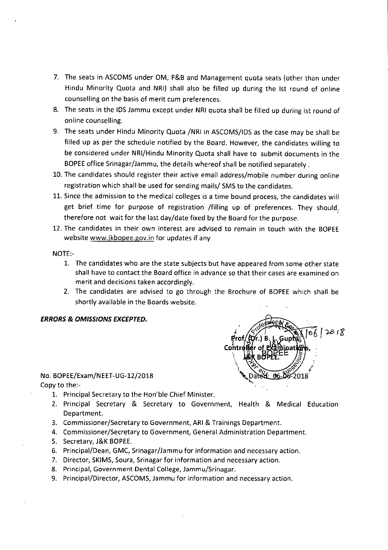- 7. The seats in ASCOMS under OM, P&B and Management quota seats (other than under Hindu Minority Quota and NRI) shall also be filled up during the 1st round of online counselling on the basis of merit cum preferences.
- 8. The seats in the IDS Jammu except under NRI quota shall be filled up during Ist round of online counselling.
- 9. The seats under Hindu Minority Quota /NRI in ASCOMS/IDS as the case may be shall be filled up as per the schedule notified by the Board. However, the candidates willing to be considered under NRl/Hindu Minority Quota shall have to submit documents in the BOPEE office Srinagar/Jammu, the details whereof shall be notified separately
- 10. The candidates should register their active email address/mobile number during online registration which shall be used for sending mails/ SMS to the candidates.
- 11. Since the admission to the medical colleges is a time bound process, the candidates will get brief time for purpose of registration /filling up of preferences. They should, therefore not wait for the last day/date fixed by the Board for the purpose.
- 12. The candidates in their own interest are advised to remain in touch with the BOPEE website www.jkbopee.gov.in for updates if any

 $NOTE$ :-

- 1. The candidates who are the state subjects but have appeared from some other state shall have to contact the Board office in advance so that their cases are examined on merit and decisions taken accordingly.
- 2. The candidates are advised to go through the Brochure of BOPEE which shall be shortly available in the Boards website.

## *ERRORS & OMISSIONS EXCEPTED.*

## No. BOPEE/Exam/NEET-UG-12/2018

Copy to the:-

- 1. Principal Secretary to the Hon'ble Chief Minister.
- 2. Principal Secretary & Secretary to Government, Health & Medical Education Department.
- 3. Commissioner/Secretary to Government, ARI & Trainings Department.
- 4. Commissioner/Secretary to Government, General Administration Department.
- 5. Secretary, J&K BOPEE.
- 6. Principal/Dean, GMC, Srinagar/Jammu for information and necessary action.
- 7. Director, SKIMS, Soura, Srinagar for information and necessary action.
- 8. Principal, Government Dental College, Jammu/Srinagar.
- 9. Principal/Director, ASCOMS, Jammu for information and necessary action.